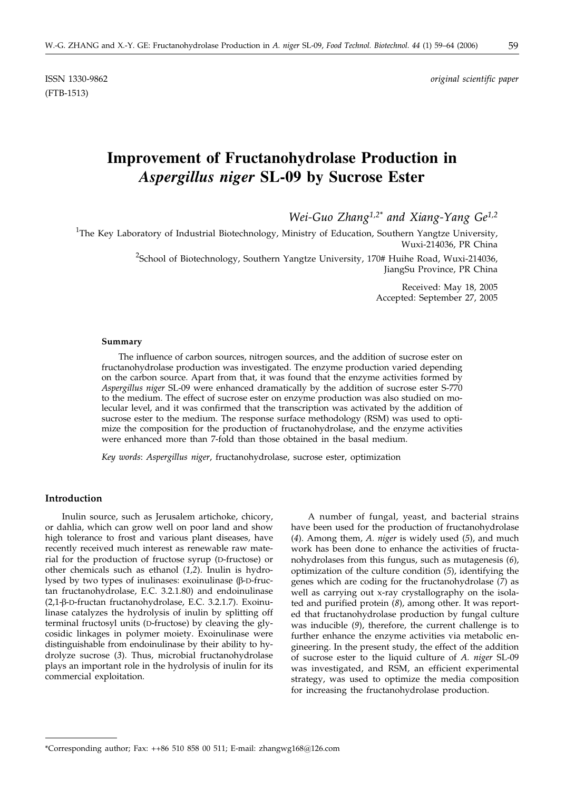(FTB-1513)

ISSN 1330-9862 *original scientific paper*

# **Improvement of Fructanohydrolase Production in** *Aspergillus niger* **SL-09 by Sucrose Ester**

*Wei-Guo Zhang1,2\* and Xiang-Yang Ge1,2*

<sup>1</sup>The Key Laboratory of Industrial Biotechnology, Ministry of Education, Southern Yangtze University, Wuxi-214036, PR China

> <sup>2</sup>School of Biotechnology, Southern Yangtze University, 170# Huihe Road, Wuxi-214036, JiangSu Province, PR China

> > Received: May 18, 2005 Accepted: September 27, 2005

#### **Summary**

The influence of carbon sources, nitrogen sources, and the addition of sucrose ester on fructanohydrolase production was investigated. The enzyme production varied depending on the carbon source. Apart from that, it was found that the enzyme activities formed by *Aspergillus niger* SL-09 were enhanced dramatically by the addition of sucrose ester S-770 to the medium. The effect of sucrose ester on enzyme production was also studied on molecular level, and it was confirmed that the transcription was activated by the addition of sucrose ester to the medium. The response surface methodology (RSM) was used to optimize the composition for the production of fructanohydrolase, and the enzyme activities were enhanced more than 7-fold than those obtained in the basal medium.

*Key words*: *Aspergillus niger*, fructanohydrolase, sucrose ester, optimization

#### **Introduction**

Inulin source, such as Jerusalem artichoke, chicory, or dahlia, which can grow well on poor land and show high tolerance to frost and various plant diseases, have recently received much interest as renewable raw material for the production of fructose syrup (D-fructose) or other chemicals such as ethanol (*1,2*). Inulin is hydrolysed by two types of inulinases: exoinulinase  $(\beta$ -D-fructan fructanohydrolase, E.C. 3.2.1.80) and endoinulinase (2,1-β-D-fructan fructanohydrolase, E.C. 3.2.1.7). Exoinulinase catalyzes the hydrolysis of inulin by splitting off terminal fructosyl units (D-fructose) by cleaving the glycosidic linkages in polymer moiety. Exoinulinase were distinguishable from endoinulinase by their ability to hydrolyze sucrose (*3*). Thus, microbial fructanohydrolase plays an important role in the hydrolysis of inulin for its commercial exploitation.

A number of fungal, yeast, and bacterial strains have been used for the production of fructanohydrolase (*4*). Among them, *A. niger* is widely used (*5*), and much work has been done to enhance the activities of fructanohydrolases from this fungus, such as mutagenesis (*6*), optimization of the culture condition (*5*), identifying the genes which are coding for the fructanohydrolase (*7*) as well as carrying out x-ray crystallography on the isolated and purified protein (*8*), among other. It was reported that fructanohydrolase production by fungal culture was inducible (*9*), therefore, the current challenge is to further enhance the enzyme activities via metabolic engineering. In the present study, the effect of the addition of sucrose ester to the liquid culture of *A. niger* SL-09 was investigated, and RSM, an efficient experimental strategy, was used to optimize the media composition for increasing the fructanohydrolase production.

<sup>\*</sup>Corresponding author; Fax:  $++86$  510 858 00 511; E-mail: zhangwg168 $@126$ .com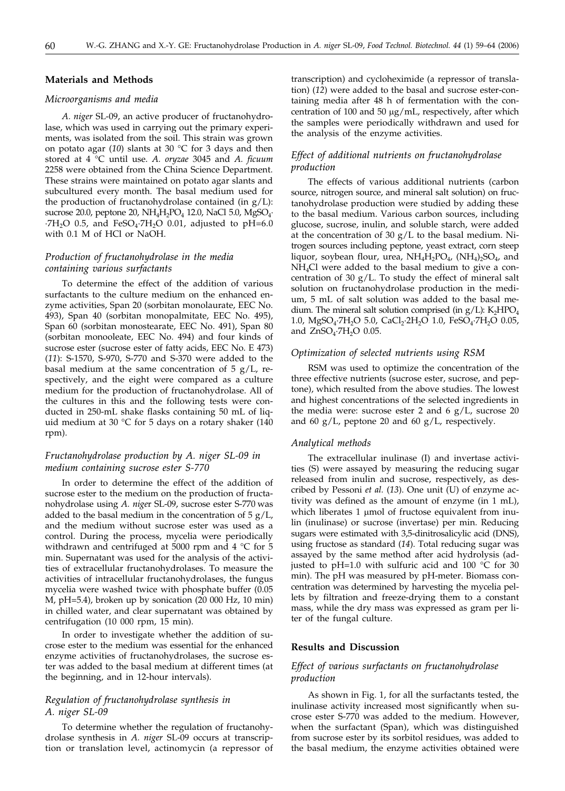#### **Materials and Methods**

#### *Microorganisms and media*

*A. niger* SL-09, an active producer of fructanohydrolase, which was used in carrying out the primary experiments, was isolated from the soil. This strain was grown on potato agar (*10*) slants at 30 °C for 3 days and then stored at 4 °C until use. *A. oryzae* 3045 and *A. ficuum* 2258 were obtained from the China Science Department. These strains were maintained on potato agar slants and subcultured every month. The basal medium used for the production of fructanohydrolase contained (in  $g/L$ ): sucrose 20.0, peptone 20,  $NH<sub>4</sub>H<sub>2</sub>PO<sub>4</sub>$  12.0, NaCl 5.0, MgSO<sub>4</sub>.  $\cdot$ 7H<sub>2</sub>O 0.5, and FeSO<sub>4</sub> $\cdot$ 7H<sub>2</sub>O 0.01, adjusted to pH=6.0 with 0.1 M of HCl or NaOH.

## *Production of fructanohydrolase in the media containing various surfactants*

To determine the effect of the addition of various surfactants to the culture medium on the enhanced enzyme activities, Span 20 (sorbitan monolaurate, EEC No. 493), Span 40 (sorbitan monopalmitate, EEC No. 495), Span 60 (sorbitan monostearate, EEC No. 491), Span 80 (sorbitan monooleate, EEC No. 494) and four kinds of sucrose ester (sucrose ester of fatty acids, EEC No. E 473) (*11*): S-1570, S-970, S-770 and S-370 were added to the basal medium at the same concentration of  $5 g/L$ , respectively, and the eight were compared as a culture medium for the production of fructanohydrolase. All of the cultures in this and the following tests were conducted in 250-mL shake flasks containing 50 mL of liquid medium at 30 °C for 5 days on a rotary shaker (140 rpm).

## *Fructanohydrolase production by A. niger SL-09 in medium containing sucrose ester S-770*

In order to determine the effect of the addition of sucrose ester to the medium on the production of fructanohydrolase using *A. nige*r SL-09, sucrose ester S-770 was added to the basal medium in the concentration of  $5 g/L$ , and the medium without sucrose ester was used as a control. During the process, mycelia were periodically withdrawn and centrifuged at 5000 rpm and 4 °C for 5 min. Supernatant was used for the analysis of the activities of extracellular fructanohydrolases. To measure the activities of intracellular fructanohydrolases, the fungus mycelia were washed twice with phosphate buffer (0.05 M, pH=5.4), broken up by sonication (20 000 Hz, 10 min) in chilled water, and clear supernatant was obtained by centrifugation (10 000 rpm, 15 min).

In order to investigate whether the addition of sucrose ester to the medium was essential for the enhanced enzyme activities of fructanohydrolases, the sucrose ester was added to the basal medium at different times (at the beginning, and in 12-hour intervals).

#### *Regulation of fructanohydrolase synthesis in A. niger SL-09*

To determine whether the regulation of fructanohydrolase synthesis in *A. niger* SL-09 occurs at transcription or translation level, actinomycin (a repressor of transcription) and cycloheximide (a repressor of translation) (*12*) were added to the basal and sucrose ester-containing media after 48 h of fermentation with the concentration of 100 and 50  $\mu$ g/mL, respectively, after which the samples were periodically withdrawn and used for the analysis of the enzyme activities.

## *Effect of additional nutrients on fructanohydrolase production*

The effects of various additional nutrients (carbon source, nitrogen source, and mineral salt solution) on fructanohydrolase production were studied by adding these to the basal medium. Various carbon sources, including glucose, sucrose, inulin, and soluble starch, were added at the concentration of 30 g/L to the basal medium. Nitrogen sources including peptone, yeast extract, corn steep liquor, soybean flour, urea,  $NH_4H_2PO_4$ ,  $(NH_4)_2SO_4$ , and NH4Cl were added to the basal medium to give a concentration of 30  $g/L$ . To study the effect of mineral salt solution on fructanohydrolase production in the medium, 5 mL of salt solution was added to the basal medium. The mineral salt solution comprised (in  $g/L$ ): K<sub>2</sub>HPO<sub>4</sub> 1.0, MgSO<sub>4</sub>·7H<sub>2</sub>O 5.0, CaCl<sub>2</sub>·2H<sub>2</sub>O 1.0, FeSO<sub>4</sub>·7H<sub>2</sub>O 0.05, and  $ZnSO_4$ -7 $H_2O$  0.05.

## *Optimization of selected nutrients using RSM*

RSM was used to optimize the concentration of the three effective nutrients (sucrose ester, sucrose, and peptone), which resulted from the above studies. The lowest and highest concentrations of the selected ingredients in the media were: sucrose ester 2 and 6  $g/L$ , sucrose 20 and 60  $g/L$ , peptone 20 and 60  $g/L$ , respectively.

#### *Analytical methods*

The extracellular inulinase (I) and invertase activities (S) were assayed by measuring the reducing sugar released from inulin and sucrose, respectively, as described by Pessoni *et al.* (*13*). One unit (U) of enzyme activity was defined as the amount of enzyme (in 1 mL), which liberates 1 µmol of fructose equivalent from inulin (inulinase) or sucrose (invertase) per min. Reducing sugars were estimated with 3,5-dinitrosalicylic acid (DNS), using fructose as standard (*14*). Total reducing sugar was assayed by the same method after acid hydrolysis (adjusted to pH=1.0 with sulfuric acid and 100  $\degree$ C for 30 min). The pH was measured by pH-meter. Biomass concentration was determined by harvesting the mycelia pellets by filtration and freeze-drying them to a constant mass, while the dry mass was expressed as gram per liter of the fungal culture.

#### **Results and Discussion**

## *Effect of various surfactants on fructanohydrolase production*

As shown in Fig. 1, for all the surfactants tested, the inulinase activity increased most significantly when sucrose ester S-770 was added to the medium. However, when the surfactant (Span), which was distinguished from sucrose ester by its sorbitol residues, was added to the basal medium, the enzyme activities obtained were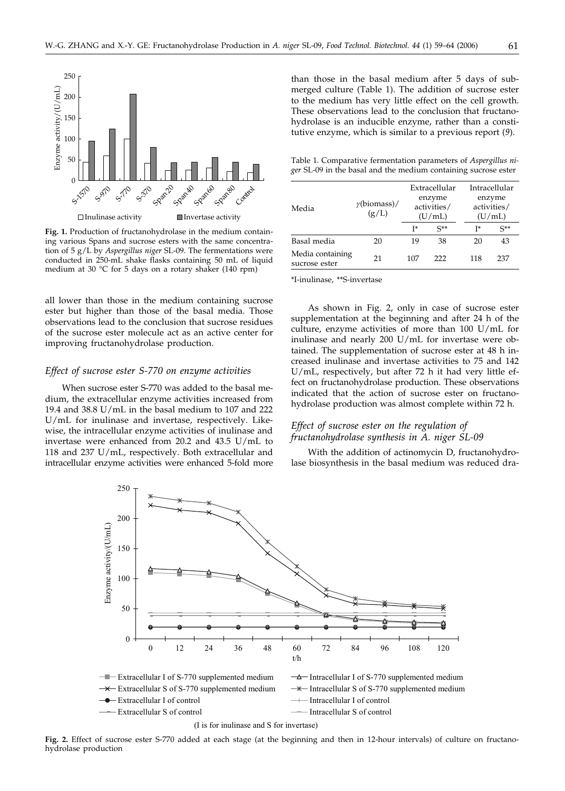

**Fig. 1.** Production of fructanohydrolase in the medium containing various Spans and sucrose esters with the same concentration of 5 g/L by *Aspergillus niger* SL-09. The fermentations were conducted in 250-mL shake flasks containing 50 mL of liquid medium at 30 °C for 5 days on a rotary shaker (140 rpm)

all lower than those in the medium containing sucrose ester but higher than those of the basal media. Those observations lead to the conclusion that sucrose residues of the sucrose ester molecule act as an active center for improving fructanohydrolase production.

#### *Effect of sucrose ester S-770 on enzyme activities*

When sucrose ester S-770 was added to the basal medium, the extracellular enzyme activities increased from 19.4 and 38.8 U/mL in the basal medium to 107 and 222 U/mL for inulinase and invertase, respectively. Likewise, the intracellular enzyme activities of inulinase and invertase were enhanced from 20.2 and 43.5 U/mL to 118 and 237 U/mL, respectively. Both extracellular and intracellular enzyme activities were enhanced 5-fold more

than those in the basal medium after 5 days of submerged culture (Table 1). The addition of sucrose ester to the medium has very little effect on the cell growth. These observations lead to the conclusion that fructanohydrolase is an inducible enzyme, rather than a constitutive enzyme, which is similar to a previous report (*9*).

Table 1. Comparative fermentation parameters of *Aspergillus niger* SL-09 in the basal and the medium containing sucrose ester

| Media                             | $\gamma$ (biomass)/<br>(g/L) | Extracellular<br>enzyme<br>activities/<br>(U/mL) |          |     | Intracellular<br>enzyme<br>activities/<br>(U/mL) |  |
|-----------------------------------|------------------------------|--------------------------------------------------|----------|-----|--------------------------------------------------|--|
|                                   |                              | T*                                               | $S^{**}$ | T*  | $S^{**}$                                         |  |
| Basal media                       | 20                           | 19                                               | 38       | 20  | 43                                               |  |
| Media containing<br>sucrose ester | 21                           | 107                                              | 222      | 118 | 237                                              |  |

\*I-inulinase, \*\*S-invertase

As shown in Fig. 2, only in case of sucrose ester supplementation at the beginning and after 24 h of the culture, enzyme activities of more than 100 U/mL for inulinase and nearly 200 U/mL for invertase were obtained. The supplementation of sucrose ester at 48 h increased inulinase and invertase activities to 75 and 142 U/mL, respectively, but after 72 h it had very little effect on fructanohydrolase production. These observations indicated that the action of sucrose ester on fructanohydrolase production was almost complete within 72 h.

## *Effect of sucrose ester on the regulation of fructanohydrolase synthesis in A. niger SL-09*

With the addition of actinomycin D, fructanohydrolase biosynthesis in the basal medium was reduced dra-



**Fig. 2.** Effect of sucrose ester S-770 added at each stage (at the beginning and then in 12-hour intervals) of culture on fructanohydrolase production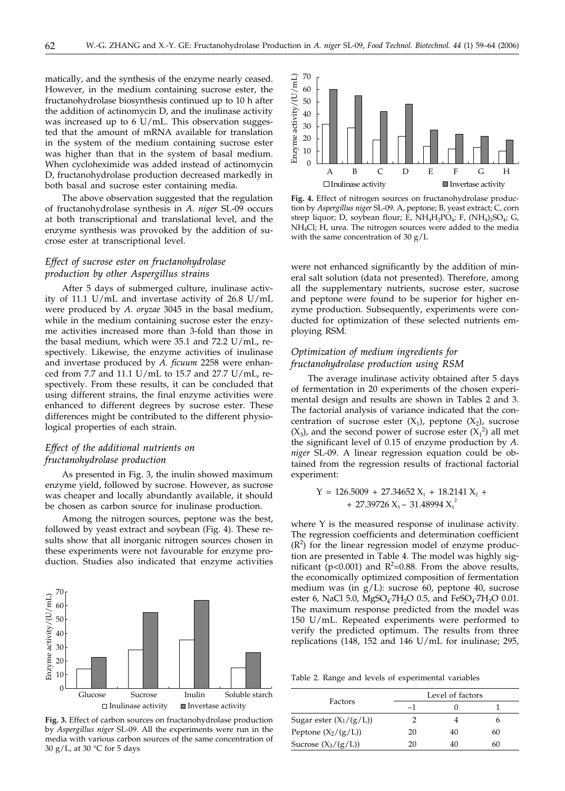matically, and the synthesis of the enzyme nearly ceased. However, in the medium containing sucrose ester, the fructanohydrolase biosynthesis continued up to 10 h after the addition of actinomycin D, and the inulinase activity was increased up to 6 U/mL. This observation suggested that the amount of mRNA available for translation in the system of the medium containing sucrose ester was higher than that in the system of basal medium. When cycloheximide was added instead of actinomycin D, fructanohydrolase production decreased markedly in both basal and sucrose ester containing media.

The above observation suggested that the regulation of fructanohydrolase synthesis in *A. niger* SL-09 occurs at both transcriptional and translational level, and the enzyme synthesis was provoked by the addition of sucrose ester at transcriptional level.

## *Effect of sucrose ester on fructanohydrolase production by other Aspergillus strains*

After 5 days of submerged culture, inulinase activity of 11.1 U/mL and invertase activity of 26.8 U/mL were produced by *A. oryzae* 3045 in the basal medium, while in the medium containing sucrose ester the enzyme activities increased more than 3-fold than those in the basal medium, which were 35.1 and 72.2 U/mL, respectively. Likewise, the enzyme activities of inulinase and invertase produced by *A. ficuum* 2258 were enhanced from 7.7 and 11.1 U/mL to 15.7 and 27.7 U/mL, respectively. From these results, it can be concluded that using different strains, the final enzyme activities were enhanced to different degrees by sucrose ester. These differences might be contributed to the different physiological properties of each strain.

## *Effect of the additional nutrients on fructanohydrolase production*

As presented in Fig. 3, the inulin showed maximum enzyme yield, followed by sucrose. However, as sucrose was cheaper and locally abundantly available, it should be chosen as carbon source for inulinase production.

Among the nitrogen sources, peptone was the best, followed by yeast extract and soybean (Fig. 4). These results show that all inorganic nitrogen sources chosen in these experiments were not favourable for enzyme production. Studies also indicated that enzyme activities



**Fig. 3.** Effect of carbon sources on fructanohydrolase production by *Aspergillus niger* SL-09. All the experiments were run in the media with various carbon sources of the same concentration of 30 g/L, at 30 °C for 5 days



**Fig. 4.** Effect of nitrogen sources on fructanohydrolase production by *Aspergillus niger* SL-09. A, peptone; B, yeast extract; C, corn steep liquor; D, soybean flour; E, NH<sub>4</sub>H<sub>2</sub>PO<sub>4</sub>; F, (NH<sub>4</sub>)<sub>2</sub>SO<sub>4</sub>; G, NH4Cl; H, urea. The nitrogen sources were added to the media with the same concentration of 30 g/L

were not enhanced significantly by the addition of mineral salt solution (data not presented). Therefore, among all the supplementary nutrients, sucrose ester, sucrose and peptone were found to be superior for higher enzyme production. Subsequently, experiments were conducted for optimization of these selected nutrients employing RSM.

## *Optimization of medium ingredients for fructanohydrolase production using RSM*

The average inulinase activity obtained after 5 days of fermentation in 20 experiments of the chosen experimental design and results are shown in Tables 2 and 3. The factorial analysis of variance indicated that the concentration of sucrose ester  $(X_1)$ , peptone  $(X_2)$ , sucrose  $(X_3)$ , and the second power of sucrose ester  $(X_1^2)$  all met the significant level of 0.15 of enzyme production by *A. niger* SL-09. A linear regression equation could be obtained from the regression results of fractional factorial experiment:

$$
Y = 126.5009 + 27.34652 X1 + 18.2141 X2 ++ 27.39726 X3 - 31.48994 X12
$$

where Y is the measured response of inulinase activity. The regression coefficients and determination coefficient  $(R<sup>2</sup>)$  for the linear regression model of enzyme production are presented in Table 4. The model was highly significant ( $p$ <0.001) and  $R^2$ =0.88. From the above results, the economically optimized composition of fermentation medium was (in g/L): sucrose 60, peptone 40, sucrose ester 6, NaCl 5.0, MgSO<sub>4</sub>·7H<sub>2</sub>O 0.5, and FeSO<sub>4</sub>·7H<sub>2</sub>O 0.01. The maximum response predicted from the model was 150 U/mL. Repeated experiments were performed to verify the predicted optimum. The results from three replications (148, 152 and 146 U/mL for inulinase; 295,

Table 2. Range and levels of experimental variables

|                           |    | Level of factors |    |
|---------------------------|----|------------------|----|
| Factors                   | -1 |                  |    |
| Sugar ester $(X_1/(g/L))$ |    |                  |    |
| Peptone $(X_2/(g/L))$     | 20 | 40               | 60 |
| Sucrose $(X_3/(g/L))$     | 20 |                  | 60 |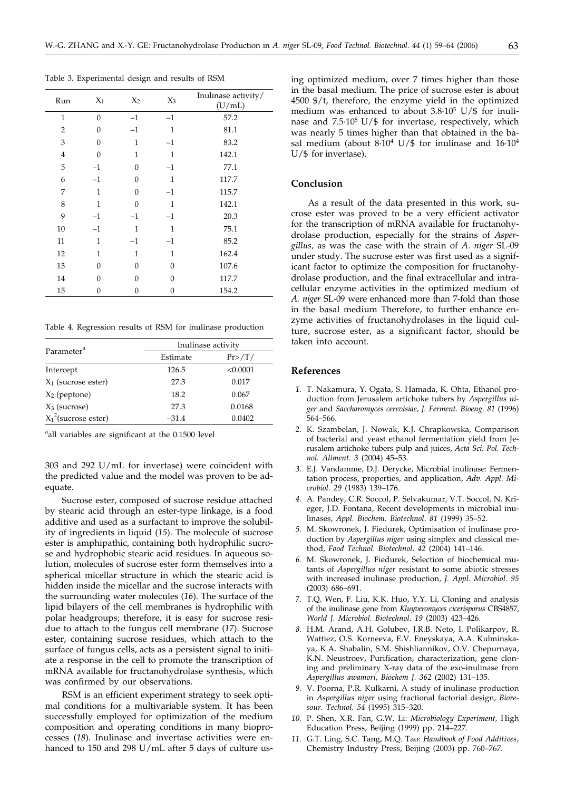Table 3. Experimental design and results of RSM

| Run            | $X_1$          | $X_2$        | $X_3$        | Inulinase activity/<br>(U/mL) |
|----------------|----------------|--------------|--------------|-------------------------------|
| $\mathbf{1}$   | $\overline{0}$ | $-1$         | $-1$         | 57.2                          |
| $\overline{2}$ | 0              | $-1$         | $\mathbf{1}$ | 81.1                          |
| 3              | $\theta$       | $\mathbf{1}$ | $-1$         | 83.2                          |
| $\bf 4$        | $\Omega$       | 1            | $\mathbf{1}$ | 142.1                         |
| 5              | $-1$           | $\Omega$     | $-1$         | 77.1                          |
| 6              | $-1$           | $\Omega$     | $\mathbf{1}$ | 117.7                         |
| 7              | $\mathbf{1}$   | $\Omega$     | $-1$         | 115.7                         |
| 8              | $\mathbf{1}$   | $\Omega$     | $\mathbf{1}$ | 142.1                         |
| 9              | $-1$           | $-1$         | $-1$         | 20.3                          |
| 10             | $-1$           | $\mathbf{1}$ | $\mathbf{1}$ | 75.1                          |
| 11             | 1              | $-1$         | $-1$         | 85.2                          |
| 12             | 1              | 1            | $\mathbf{1}$ | 162.4                         |
| 13             | $\Omega$       | 0            | $\Omega$     | 107.6                         |
| 14             | $\Omega$       | 0            | $\Omega$     | 117.7                         |
| 15             | 0              | 0            | 0            | 154.2                         |

Table 4. Regression results of RSM for inulinase production

|                         | Inulinase activity |          |  |  |
|-------------------------|--------------------|----------|--|--|
| Parameter <sup>a</sup>  | Estimate           | Pr>/T/   |  |  |
| Intercept               | 126.5              | < 0.0001 |  |  |
| $X_1$ (sucrose ester)   | 27.3               | 0.017    |  |  |
| $X_2$ (peptone)         | 18.2               | 0.067    |  |  |
| $X_3$ (sucrose)         | 27.3               | 0.0168   |  |  |
| $X_1^2$ (sucrose ester) | $-31.4$            | 0.0402   |  |  |

<sup>a</sup>all variables are significant at the 0.1500 level

303 and 292 U/mL for invertase) were coincident with the predicted value and the model was proven to be adequate.

Sucrose ester, composed of sucrose residue attached by stearic acid through an ester-type linkage, is a food additive and used as a surfactant to improve the solubility of ingredients in liquid (*15*). The molecule of sucrose ester is amphipathic, containing both hydrophilic sucrose and hydrophobic stearic acid residues. In aqueous solution, molecules of sucrose ester form themselves into a spherical micellar structure in which the stearic acid is hidden inside the micellar and the sucrose interacts with the surrounding water molecules (*16*). The surface of the lipid bilayers of the cell membranes is hydrophilic with polar headgroups; therefore, it is easy for sucrose residue to attach to the fungus cell membrane (*17*). Sucrose ester, containing sucrose residues, which attach to the surface of fungus cells, acts as a persistent signal to initiate a response in the cell to promote the transcription of mRNA available for fructanohydrolase synthesis, which was confirmed by our observations.

RSM is an efficient experiment strategy to seek optimal conditions for a multivariable system. It has been successfully employed for optimization of the medium composition and operating conditions in many bioprocesses (*18*). Inulinase and invertase activities were enhanced to 150 and 298 U/mL after 5 days of culture using optimized medium, over 7 times higher than those in the basal medium. The price of sucrose ester is about 4500 \$/t, therefore, the enzyme yield in the optimized medium was enhanced to about  $3.8 \cdot 10^5$  U/\$ for inulinase and  $7.5 \cdot 10^5$  U/\$ for invertase, respectively, which was nearly 5 times higher than that obtained in the basal medium (about  $8·10<sup>4</sup>$  U/\$ for inulinase and  $16·10<sup>4</sup>$ U/\$ for invertase).

#### **Conclusion**

As a result of the data presented in this work, sucrose ester was proved to be a very efficient activator for the transcription of mRNA available for fructanohydrolase production, especially for the strains of *Aspergillus,* as was the case with the strain of *A. niger* SL-09 under study. The sucrose ester was first used as a significant factor to optimize the composition for fructanohydrolase production, and the final extracellular and intracellular enzyme activities in the optimized medium of *A. niger* SL-09 were enhanced more than 7-fold than those in the basal medium Therefore, to further enhance enzyme activities of fructanohydrolases in the liquid culture, sucrose ester, as a significant factor, should be taken into account.

#### **References**

- *1.* T. Nakamura, Y. Ogata, S. Hamada, K. Ohta, Ethanol production from Jerusalem artichoke tubers by *Aspergillus niger* and *Saccharomyces cerevisiae*, *J. Ferment. Bioeng. 81* (1996) 564–566.
- *2.* K. Szambelan, J. Nowak, K.J. Chrapkowska, Comparison of bacterial and yeast ethanol fermentation yield from Jerusalem artichoke tubers pulp and juices, *Acta Sci. Pol. Technol. Aliment. 3* (2004) 45–53.
- *3.* E.J. Vandamme, D.J. Derycke, Microbial inulinase: Fermentation process, properties, and application, *Adv. Appl. Microbiol. 29* (1983) 139–176.
- *4.* A. Pandey, C.R. Soccol, P. Selvakumar, V.T. Soccol, N. Krieger, J.D. Fontana, Recent developments in microbial inulinases, *Appl. Biochem. Biotechnol*. *81* (1999) 35–52.
- *5.* M. Skowronek, J. Fiedurek, Optimisation of inulinase production by *Aspergillus niger* using simplex and classical method, *Food Technol. Biotechnol*. *42* (2004) 141–146.
- *6.* M. Skowronek, J. Fiedurek, Selection of biochemical mutants of *Aspergillus niger* resistant to some abiotic stresses with increased inulinase production, *J. Appl. Microbiol. 95* (2003) 686–691.
- *7.* T.Q. Wen, F. Liu, K.K. Huo, Y.Y. Li, Cloning and analysis of the inulinase gene from *Kluyveromyces cicerisporus* CBS4857, *World J. Microbiol. Biotechnol*. *19* (2003) 423–426.
- *8.* H.M. Arand, A.H. Golubev, J.R.B. Neto, I. Polikarpov, R. Wattiez, O.S. Korneeva, E.V. Eneyskaya, A.A. Kulminskaya, K.A. Shabalin, S.M. Shishliannikov, O.V. Chepurnaya, K.N. Neustroev, Purification, characterization, gene cloning and preliminary X-ray data of the exo-inulinase from *Aspergillus awamori*, *Biochem J. 362* (2002) 131–135.
- *9.* V. Poorna, P.R. Kulkarni, A study of inulinase production in *Aspergillus niger* using fractional factorial design, *Bioresour. Technol. 54* (1995) 315–320.
- *10.* P. Shen, X.R. Fan, G.W. Li: *Microbiology Experiment,* High Education Press, Beijing (1999) pp. 214-227.
- *11.* G.T. Ling, S.C. Tang, M.Q. Tao: *Handbook of Food Additives*, Chemistry Industry Press, Beijing (2003) pp. 760–767.